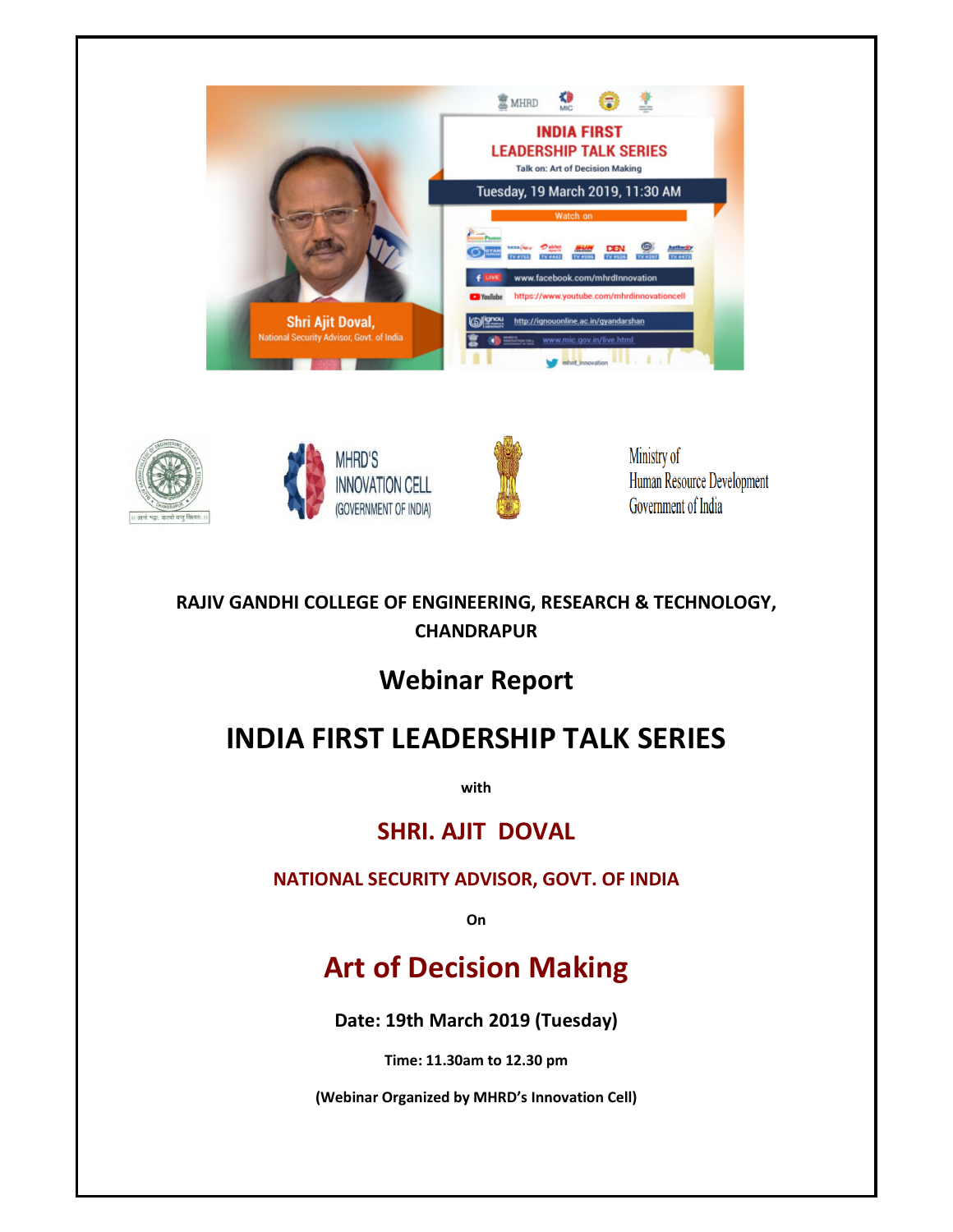



### **RAJIV GANDHI COLLEGE OF ENGINEERING, RESEARCH & TECHNOLOGY, CHANDRAPUR**

## **Webinar Report**

# **INDIA FIRST LEADERSHIP TALK SERIES**

**with** 

## **SHRI. AJIT DOVAL**

#### **NATIONAL SECURITY ADVISOR, GOVT. OF INDIA**

**On** 

# **Art of Decision Making**

**Date: 19th March 2019 (Tuesday)** 

**Time: 11.30am to 12.30 pm** 

**(Webinar Organized by MHRD's Innovation Cell)**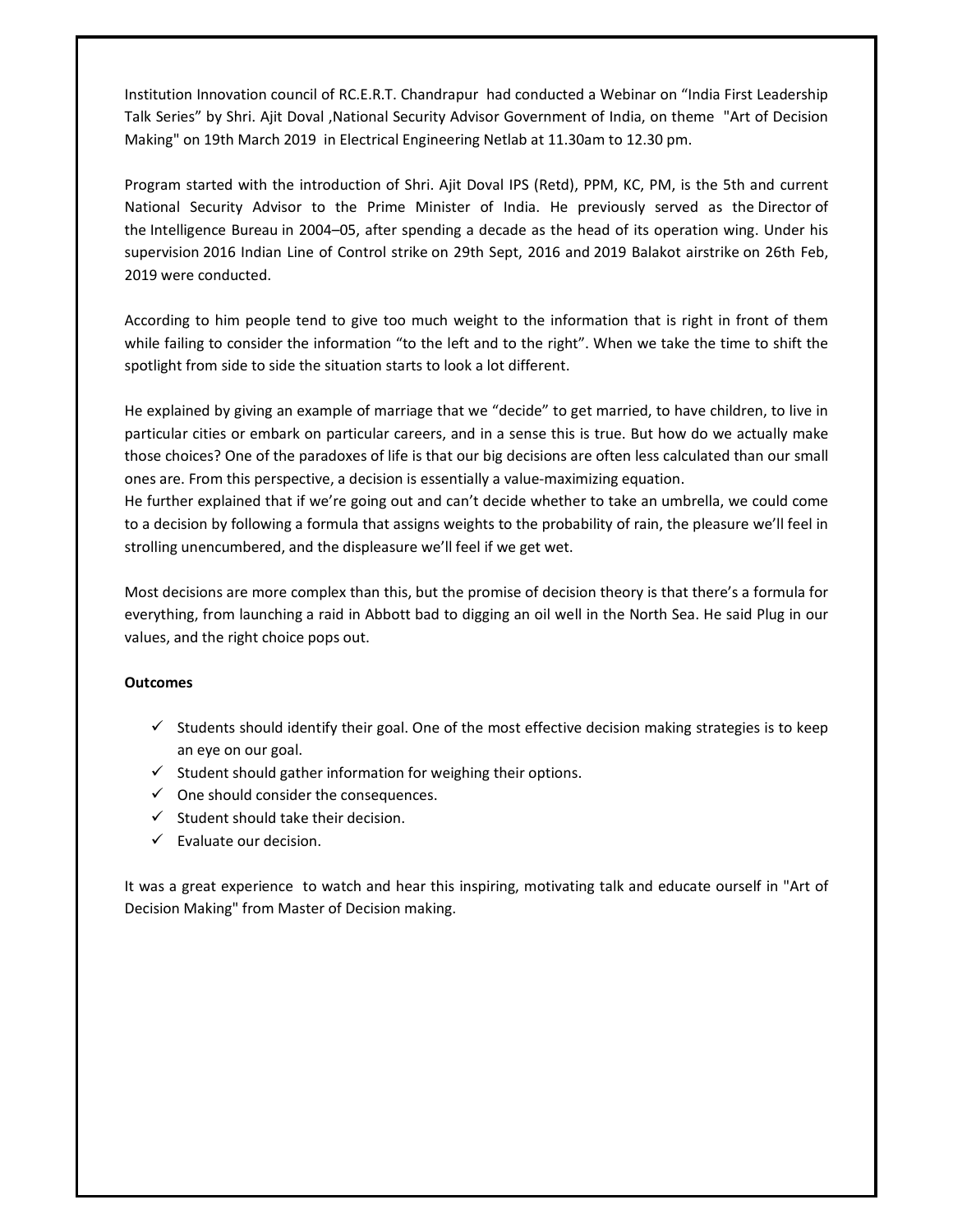Institution Innovation council of RC.E.R.T. Chandrapur had conducted a Webinar on "India First Leadership Talk Series" by Shri. Ajit Doval ,National Security Advisor Government of India, on theme "Art of Decision Making" on 19th March 2019 in Electrical Engineering Netlab at 11.30am to 12.30 pm.

Program started with the introduction of Shri. Ajit Doval IPS (Retd), PPM, KC, PM, is the 5th and current National Security Advisor to the Prime Minister of India. He previously served as the Director of the Intelligence Bureau in 2004–05, after spending a decade as the head of its operation wing. Under his supervision 2016 Indian Line of Control strike on 29th Sept, 2016 and 2019 Balakot airstrike on 26th Feb, 2019 were conducted.

According to him people tend to give too much weight to the information that is right in front of them while failing to consider the information "to the left and to the right". When we take the time to shift the spotlight from side to side the situation starts to look a lot different.

He explained by giving an example of marriage that we "decide" to get married, to have children, to live in particular cities or embark on particular careers, and in a sense this is true. But how do we actually make those choices? One of the paradoxes of life is that our big decisions are often less calculated than our small ones are. From this perspective, a decision is essentially a value-maximizing equation.

He further explained that if we're going out and can't decide whether to take an umbrella, we could come to a decision by following a formula that assigns weights to the probability of rain, the pleasure we'll feel in strolling unencumbered, and the displeasure we'll feel if we get wet.

Most decisions are more complex than this, but the promise of decision theory is that there's a formula for everything, from launching a raid in Abbott bad to digging an oil well in the North Sea. He said Plug in our values, and the right choice pops out.

#### **Outcomes**

- $\checkmark$  Students should identify their goal. One of the most effective decision making strategies is to keep an eye on our goal.
- $\checkmark$  Student should gather information for weighing their options.
- $\checkmark$  One should consider the consequences.
- $\checkmark$  Student should take their decision.
- $\checkmark$  Evaluate our decision.

It was a great experience to watch and hear this inspiring, motivating talk and educate ourself in "Art of Decision Making" from Master of Decision making.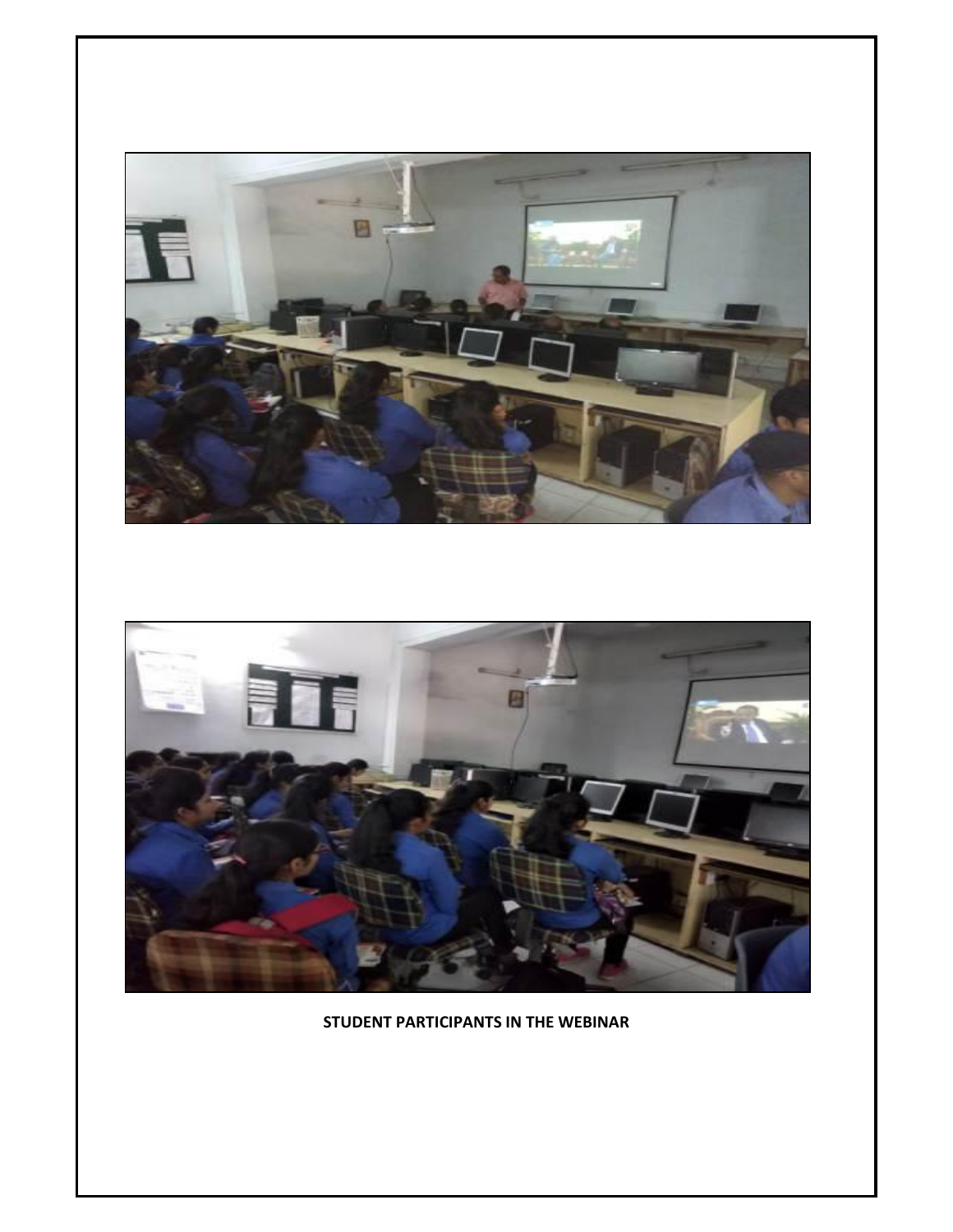



**STUDENT PARTICIPANTS IN THE WEBINAR**